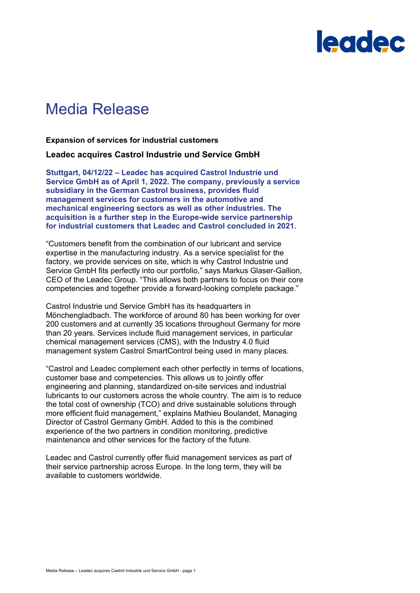

## Media Release

**Expansion of services for industrial customers**

**Leadec acquires Castrol Industrie und Service GmbH**

**Stuttgart, 04/12/22 – Leadec has acquired Castrol Industrie und Service GmbH as of April 1, 2022. The company, previously a service subsidiary in the German Castrol business, provides fluid management services for customers in the automotive and mechanical engineering sectors as well as other industries. The acquisition is a further step in the Europe-wide service partnership for industrial customers that Leadec and Castrol concluded in 2021.**

"Customers benefit from the combination of our lubricant and service expertise in the manufacturing industry. As a service specialist for the factory, we provide services on site, which is why Castrol Industrie und Service GmbH fits perfectly into our portfolio," says Markus Glaser-Gallion, CEO of the Leadec Group. "This allows both partners to focus on their core competencies and together provide a forward-looking complete package."

Castrol Industrie und Service GmbH has its headquarters in Mönchengladbach. The workforce of around 80 has been working for over 200 customers and at currently 35 locations throughout Germany for more than 20 years. Services include fluid management services, in particular chemical management services (CMS), with the Industry 4.0 fluid management system Castrol SmartControl being used in many places.

"Castrol and Leadec complement each other perfectly in terms of locations, customer base and competencies. This allows us to jointly offer engineering and planning, standardized on-site services and industrial lubricants to our customers across the whole country. The aim is to reduce the total cost of ownership (TCO) and drive sustainable solutions through more efficient fluid management," explains Mathieu Boulandet, Managing Director of Castrol Germany GmbH. Added to this is the combined experience of the two partners in condition monitoring, predictive maintenance and other services for the factory of the future.

Leadec and Castrol currently offer fluid management services as part of their service partnership across Europe. In the long term, they will be available to customers worldwide.